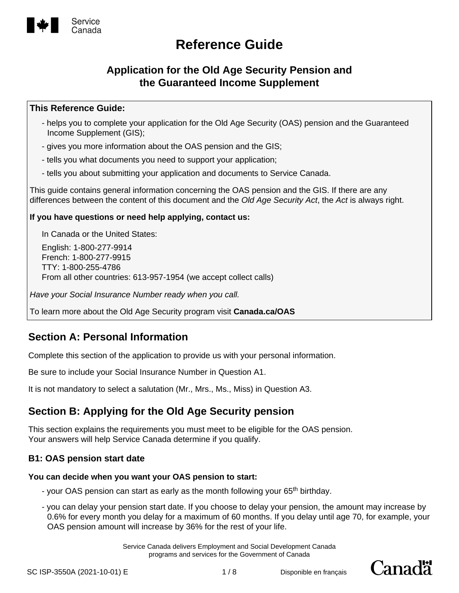

### **Application for the Old Age Security Pension and the Guaranteed Income Supplement**

### **This Reference Guide:**

- helps you to complete your application for the Old Age Security (OAS) pension and the Guaranteed Income Supplement (GIS);
- gives you more information about the OAS pension and the GIS;
- tells you what documents you need to support your application;
- tells you about submitting your application and documents to Service Canada.

This guide contains general information concerning the OAS pension and the GIS. If there are any differences between the content of this document and the *Old Age Security Act*, the *Act* is always right.

#### **If you have questions or need help applying, contact us:**

In Canada or the United States:

English: 1-800-277-9914 French: 1-800-277-9915 TTY: 1-800-255-4786 From all other countries: 613-957-1954 (we accept collect calls)

*Have your Social Insurance Number ready when you call.*

To learn more about the Old Age Security program visit **Canada.ca/OAS**

### **Section A: Personal Information**

Complete this section of the application to provide us with your personal information.

Be sure to include your Social Insurance Number in Question A1.

It is not mandatory to select a salutation (Mr., Mrs., Ms., Miss) in Question A3.

### **Section B: Applying for the Old Age Security pension**

This section explains the requirements you must meet to be eligible for the OAS pension. Your answers will help Service Canada determine if you qualify.

### **B1: OAS pension start date**

#### **You can decide when you want your OAS pension to start:**

- your OAS pension can start as early as the month following your 65<sup>th</sup> birthday.
- you can delay your pension start date. If you choose to delay your pension, the amount may increase by 0.6% for every month you delay for a maximum of 60 months. If you delay until age 70, for example, your OAS pension amount will increase by 36% for the rest of your life.

Service Canada delivers Employment and Social Development Canada programs and services for the Government of Canada

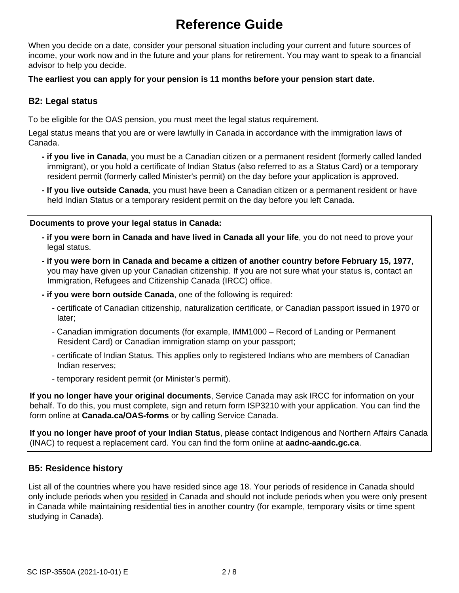When you decide on a date, consider your personal situation including your current and future sources of income, your work now and in the future and your plans for retirement. You may want to speak to a financial advisor to help you decide.

#### **The earliest you can apply for your pension is 11 months before your pension start date.**

### **B2: Legal status**

To be eligible for the OAS pension, you must meet the legal status requirement.

Legal status means that you are or were lawfully in Canada in accordance with the immigration laws of Canada.

- **if you live in Canada**, you must be a Canadian citizen or a permanent resident (formerly called landed immigrant), or you hold a certificate of Indian Status (also referred to as a Status Card) or a temporary resident permit (formerly called Minister's permit) on the day before your application is approved.
- **If you live outside Canada**, you must have been a Canadian citizen or a permanent resident or have held Indian Status or a temporary resident permit on the day before you left Canada.

#### **Documents to prove your legal status in Canada:**

- **if you were born in Canada and have lived in Canada all your life**, you do not need to prove your legal status.
- **if you were born in Canada and became a citizen of another country before February 15, 1977**, you may have given up your Canadian citizenship. If you are not sure what your status is, contact an Immigration, Refugees and Citizenship Canada (IRCC) office.
- **if you were born outside Canada**, one of the following is required:
	- certificate of Canadian citizenship, naturalization certificate, or Canadian passport issued in 1970 or later;
	- Canadian immigration documents (for example, IMM1000 Record of Landing or Permanent Resident Card) or Canadian immigration stamp on your passport;
	- certificate of Indian Status. This applies only to registered Indians who are members of Canadian Indian reserves;
	- temporary resident permit (or Minister's permit).

**If you no longer have your original documents**, Service Canada may ask IRCC for information on your behalf. To do this, you must complete, sign and return form ISP3210 with your application. You can find the form online at **Canada.ca/OAS-forms** or by calling Service Canada.

**If you no longer have proof of your Indian Status**, please contact Indigenous and Northern Affairs Canada (INAC) to request a replacement card. You can find the form online at **aadnc-aandc.gc.ca**.

### **B5: Residence history**

List all of the countries where you have resided since age 18. Your periods of residence in Canada should only include periods when you resided in Canada and should not include periods when you were only present in Canada while maintaining residential ties in another country (for example, temporary visits or time spent studying in Canada).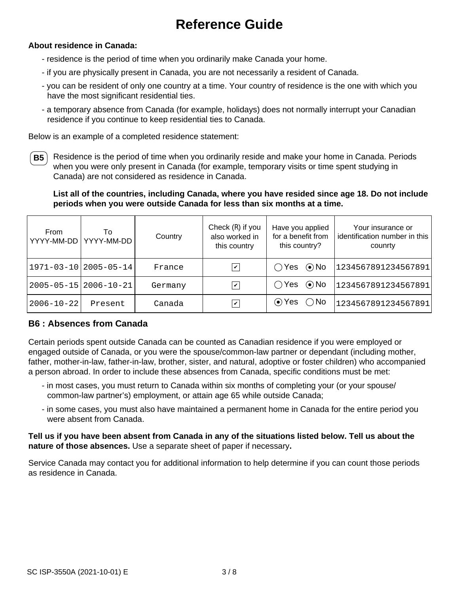#### **About residence in Canada:**

- residence is the period of time when you ordinarily make Canada your home.
- if you are physically present in Canada, you are not necessarily a resident of Canada.
- you can be resident of only one country at a time. Your country of residence is the one with which you have the most significant residential ties.
- a temporary absence from Canada (for example, holidays) does not normally interrupt your Canadian residence if you continue to keep residential ties to Canada.

Below is an example of a completed residence statement:

**B5** Residence is the period of time when you ordinarily reside and make your home in Canada. Periods when you were only present in Canada (for example, temporary visits or time spent studying in Canada) are not considered as residence in Canada.

**List all of the countries, including Canada, where you have resided since age 18. Do not include periods when you were outside Canada for less than six months at a time.**

| From<br>YYYY-MM-DD | To<br>YYYY-MM-DD            | Country | Check (R) if you<br>also worked in<br>this country | Have you applied<br>for a benefit from<br>this country? | Your insurance or<br>identification number in this<br>counrty |
|--------------------|-----------------------------|---------|----------------------------------------------------|---------------------------------------------------------|---------------------------------------------------------------|
|                    | $1971 - 03 - 10$ 2005-05-14 | France  | $\overline{\mathbf{v}}$                            | $\odot$ No<br>$\bigcirc$ Yes                            | 1234567891234567891                                           |
|                    | 2005-05-15 2006-10-21       | Germany | $\overline{\mathbf{v}}$                            | $\bigcirc$ Yes $\bigcirc$ No                            | 1234567891234567891                                           |
| $2006 - 10 - 22$   | Present                     | Canada  | $\overline{\mathbf{v}}$                            | $\odot$ Yes $\bigcirc$ No                               | 1234567891234567891                                           |

### **B6 : Absences from Canada**

Certain periods spent outside Canada can be counted as Canadian residence if you were employed or engaged outside of Canada, or you were the spouse/common-law partner or dependant (including mother, father, mother-in-law, father-in-law, brother, sister, and natural, adoptive or foster children) who accompanied a person abroad. In order to include these absences from Canada, specific conditions must be met:

- in most cases, you must return to Canada within six months of completing your (or your spouse/ common-law partner's) employment, or attain age 65 while outside Canada;
- in some cases, you must also have maintained a permanent home in Canada for the entire period you were absent from Canada.

**Tell us if you have been absent from Canada in any of the situations listed below. Tell us about the nature of those absences.** Use a separate sheet of paper if necessary**.**

Service Canada may contact you for additional information to help determine if you can count those periods as residence in Canada.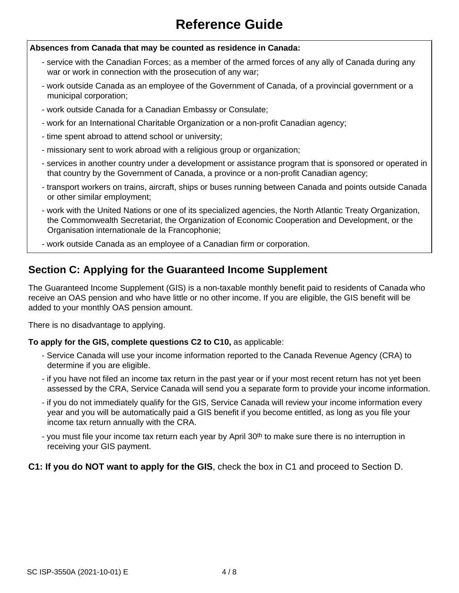#### **Absences from Canada that may be counted as residence in Canada:**

- service with the Canadian Forces; as a member of the armed forces of any ally of Canada during any war or work in connection with the prosecution of any war;
- work outside Canada as an employee of the Government of Canada, of a provincial government or a municipal corporation;
- work outside Canada for a Canadian Embassy or Consulate;
- work for an International Charitable Organization or a non-profit Canadian agency;
- time spent abroad to attend school or university;
- missionary sent to work abroad with a religious group or organization;
- services in another country under a development or assistance program that is sponsored or operated in that country by the Government of Canada, a province or a non-profit Canadian agency;
- transport workers on trains, aircraft, ships or buses running between Canada and points outside Canada or other similar employment;
- work with the United Nations or one of its specialized agencies, the North Atlantic Treaty Organization, the Commonwealth Secretariat, the Organization of Economic Cooperation and Development, or the Organisation internationale de la Francophonie;
- work outside Canada as an employee of a Canadian firm or corporation.

### **Section C: Applying for the Guaranteed Income Supplement**

The Guaranteed Income Supplement (GIS) is a non-taxable monthly benefit paid to residents of Canada who receive an OAS pension and who have little or no other income. If you are eligible, the GIS benefit will be added to your monthly OAS pension amount.

There is no disadvantage to applying.

### **To apply for the GIS, complete questions C2 to C10,** as applicable:

- Service Canada will use your income information reported to the Canada Revenue Agency (CRA) to determine if you are eligible.
- if you have not filed an income tax return in the past year or if your most recent return has not yet been assessed by the CRA, Service Canada will send you a separate form to provide your income information.
- if you do not immediately qualify for the GIS, Service Canada will review your income information every year and you will be automatically paid a GIS benefit if you become entitled, as long as you file your income tax return annually with the CRA.
- you must file your income tax return each year by April 30<sup>th</sup> to make sure there is no interruption in receiving your GIS payment.

### **C1: If you do NOT want to apply for the GIS**, check the box in C1 and proceed to Section D.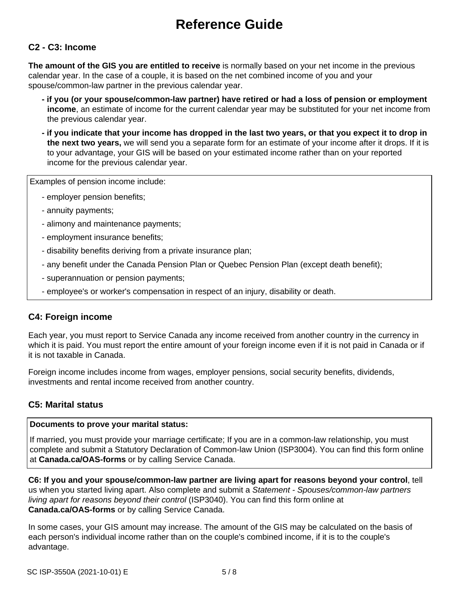### **C2 - C3: Income**

**The amount of the GIS you are entitled to receive** is normally based on your net income in the previous calendar year. In the case of a couple, it is based on the net combined income of you and your spouse/common-law partner in the previous calendar year.

- **if you (or your spouse/common-law partner) have retired or had a loss of pension or employment income**, an estimate of income for the current calendar year may be substituted for your net income from the previous calendar year.
- **if you indicate that your income has dropped in the last two years, or that you expect it to drop in the next two years,** we will send you a separate form for an estimate of your income after it drops. If it is to your advantage, your GIS will be based on your estimated income rather than on your reported income for the previous calendar year.

Examples of pension income include:

- employer pension benefits;
- annuity payments;
- alimony and maintenance payments;
- employment insurance benefits;
- disability benefits deriving from a private insurance plan;
- any benefit under the Canada Pension Plan or Quebec Pension Plan (except death benefit);
- superannuation or pension payments;
- employee's or worker's compensation in respect of an injury, disability or death.

### **C4: Foreign income**

Each year, you must report to Service Canada any income received from another country in the currency in which it is paid. You must report the entire amount of your foreign income even if it is not paid in Canada or if it is not taxable in Canada.

Foreign income includes income from wages, employer pensions, social security benefits, dividends, investments and rental income received from another country.

### **C5: Marital status**

#### **Documents to prove your marital status:**

If married, you must provide your marriage certificate; If you are in a common-law relationship, you must complete and submit a Statutory Declaration of Common-law Union (ISP3004). You can find this form online at **Canada.ca/OAS-forms** or by calling Service Canada.

**C6: If you and your spouse/common-law partner are living apart for reasons beyond your control**, tell us when you started living apart. Also complete and submit a *Statement - Spouses/common-law partners living apart for reasons beyond their control* (ISP3040). You can find this form online at **Canada.ca/OAS-forms** or by calling Service Canada.

In some cases, your GIS amount may increase. The amount of the GIS may be calculated on the basis of each person's individual income rather than on the couple's combined income, if it is to the couple's advantage.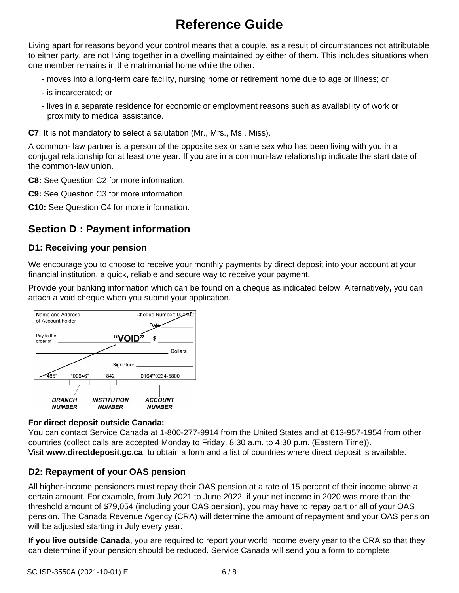Living apart for reasons beyond your control means that a couple, as a result of circumstances not attributable to either party, are not living together in a dwelling maintained by either of them. This includes situations when one member remains in the matrimonial home while the other:

- moves into a long-term care facility, nursing home or retirement home due to age or illness; or
- is incarcerated; or
- lives in a separate residence for economic or employment reasons such as availability of work or proximity to medical assistance.

**C7**: It is not mandatory to select a salutation (Mr., Mrs., Ms., Miss).

A common- law partner is a person of the opposite sex or same sex who has been living with you in a conjugal relationship for at least one year. If you are in a common-law relationship indicate the start date of the common-law union.

**C8:** See Question C2 for more information.

**C9:** See Question C3 for more information.

**C10:** See Question C4 for more information.

## **Section D : Payment information**

### **D1: Receiving your pension**

We encourage you to choose to receive your monthly payments by direct deposit into your account at your financial institution, a quick, reliable and secure way to receive your payment.

Provide your banking information which can be found on a cheque as indicated below. Alternatively**,** you can attach a void cheque when you submit your application.



### **For direct deposit outside Canada:**

You can contact Service Canada at 1-800-277-9914 from the United States and at 613-957-1954 from other countries (collect calls are accepted Monday to Friday, 8:30 a.m. to 4:30 p.m. (Eastern Time)). Visit **www**.**directdeposit.gc.ca**. to obtain a form and a list of countries where direct deposit is available.

### **D2: Repayment of your OAS pension**

All higher-income pensioners must repay their OAS pension at a rate of 15 percent of their income above a certain amount. For example, from July 2021 to June 2022, if your net income in 2020 was more than the threshold amount of \$79,054 (including your OAS pension), you may have to repay part or all of your OAS pension. The Canada Revenue Agency (CRA) will determine the amount of repayment and your OAS pension will be adjusted starting in July every year.

**If you live outside Canada**, you are required to report your world income every year to the CRA so that they can determine if your pension should be reduced. Service Canada will send you a form to complete.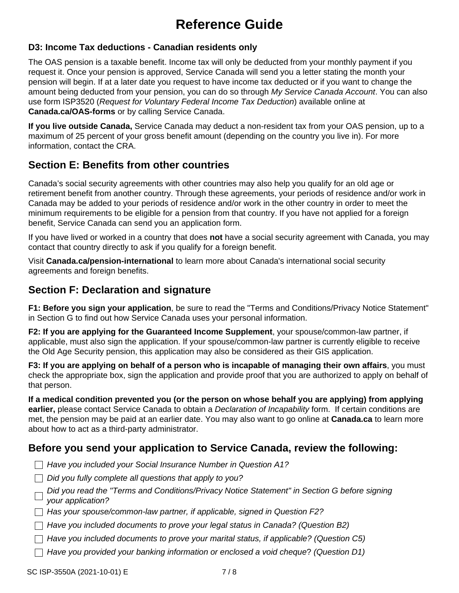### **D3: Income Tax deductions - Canadian residents only**

The OAS pension is a taxable benefit. Income tax will only be deducted from your monthly payment if you request it. Once your pension is approved, Service Canada will send you a letter stating the month your pension will begin. If at a later date you request to have income tax deducted or if you want to change the amount being deducted from your pension, you can do so through *My Service Canada Account*. You can also use form ISP3520 (*Request for Voluntary Federal Income Tax Deduction*) available online at **Canada.ca/OAS-forms** or by calling Service Canada.

**If you live outside Canada,** Service Canada may deduct a non-resident tax from your OAS pension, up to a maximum of 25 percent of your gross benefit amount (depending on the country you live in). For more information, contact the CRA.

### **Section E: Benefits from other countries**

Canada's social security agreements with other countries may also help you qualify for an old age or retirement benefit from another country. Through these agreements, your periods of residence and/or work in Canada may be added to your periods of residence and/or work in the other country in order to meet the minimum requirements to be eligible for a pension from that country. If you have not applied for a foreign benefit, Service Canada can send you an application form.

If you have lived or worked in a country that does **not** have a social security agreement with Canada, you may contact that country directly to ask if you qualify for a foreign benefit.

Visit **Canada.ca/pension-international** to learn more about Canada's international social security agreements and foreign benefits.

### **Section F: Declaration and signature**

**F1: Before you sign your application**, be sure to read the "Terms and Conditions/Privacy Notice Statement" in Section G to find out how Service Canada uses your personal information.

**F2: If you are applying for the Guaranteed Income Supplement**, your spouse/common-law partner, if applicable, must also sign the application. If your spouse/common-law partner is currently eligible to receive the Old Age Security pension, this application may also be considered as their GIS application.

**F3: If you are applying on behalf of a person who is incapable of managing their own affairs**, you must check the appropriate box, sign the application and provide proof that you are authorized to apply on behalf of that person.

**If a medical condition prevented you (or the person on whose behalf you are applying) from applying earlier,** please contact Service Canada to obtain a *Declaration of Incapability* form. If certain conditions are met, the pension may be paid at an earlier date. You may also want to go online at **Canada.ca** to learn more about how to act as a third-party administrator.

### **Before you send your application to Service Canada, review the following:**

- *Have you included your Social Insurance Number in Question A1?*
- *Did you fully complete all questions that apply to you?*
- *Did you read the "Terms and Conditions/Privacy Notice Statement" in Section G before signing your application?*
- *Has your spouse/common-law partner, if applicable, signed in Question F2?*
- *Have you included documents to prove your legal status in Canada? (Question B2)*
- *Have you included documents to prove your marital status, if applicable? (Question C5)*
- *Have you provided your banking information or enclosed a void cheque*? *(Question D1)*